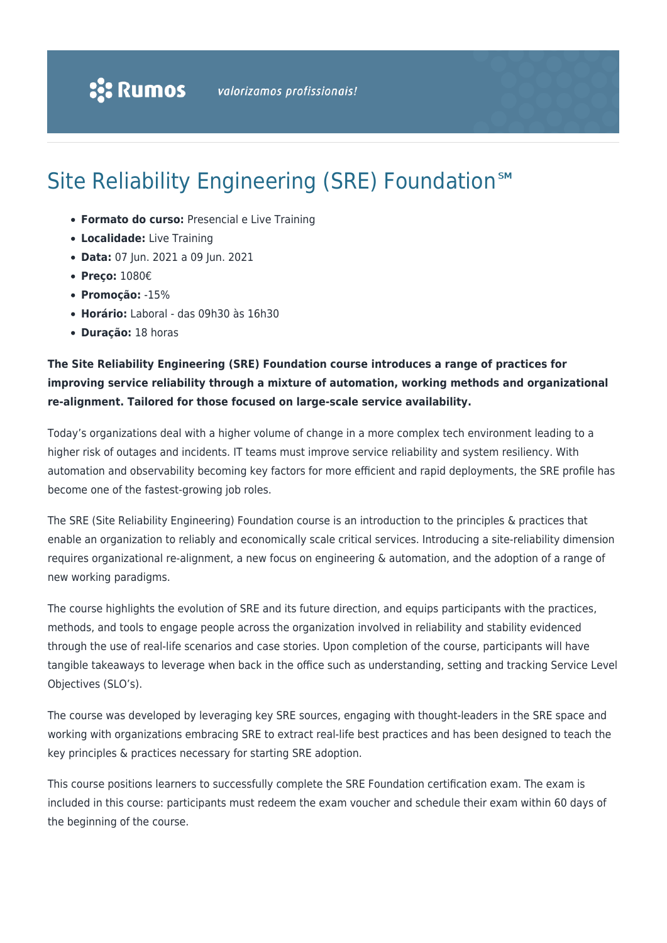# Site Reliability Engineering (SRE) Foundation<sup>SM</sup>

- **Formato do curso:** Presencial e Live Training
- **Localidade:** Live Training
- **Data:** 07 Jun. 2021 a 09 Jun. 2021
- **Preço:** 1080€
- **Promoção:** -15%
- **Horário:** Laboral das 09h30 às 16h30
- **Duração:** 18 horas

### **The Site Reliability Engineering (SRE) Foundation course introduces a range of practices for improving service reliability through a mixture of automation, working methods and organizational re-alignment. Tailored for those focused on large-scale service availability.**

Today's organizations deal with a higher volume of change in a more complex tech environment leading to a higher risk of outages and incidents. IT teams must improve service reliability and system resiliency. With automation and observability becoming key factors for more efficient and rapid deployments, the SRE profile has become one of the fastest-growing job roles.

The SRE (Site Reliability Engineering) Foundation course is an introduction to the principles & practices that enable an organization to reliably and economically scale critical services. Introducing a site-reliability dimension requires organizational re-alignment, a new focus on engineering & automation, and the adoption of a range of new working paradigms.

The course highlights the evolution of SRE and its future direction, and equips participants with the practices, methods, and tools to engage people across the organization involved in reliability and stability evidenced through the use of real-life scenarios and case stories. Upon completion of the course, participants will have tangible takeaways to leverage when back in the office such as understanding, setting and tracking Service Level Objectives (SLO's).

The course was developed by leveraging key SRE sources, engaging with thought-leaders in the SRE space and working with organizations embracing SRE to extract real-life best practices and has been designed to teach the key principles & practices necessary for starting SRE adoption.

This course positions learners to successfully complete the SRE Foundation certification exam. The exam is included in this course: participants must redeem the exam voucher and schedule their exam within 60 days of the beginning of the course.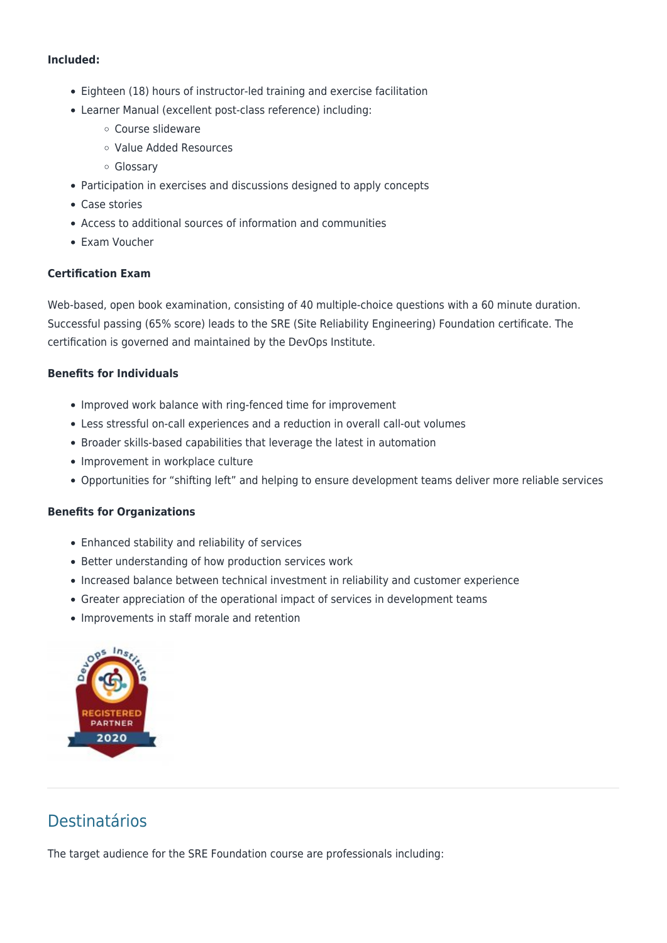#### **Included:**

- Eighteen (18) hours of instructor-led training and exercise facilitation
- Learner Manual (excellent post-class reference) including:
	- Course slideware
	- Value Added Resources
	- Glossary
- Participation in exercises and discussions designed to apply concepts
- Case stories
- Access to additional sources of information and communities
- Exam Voucher

### **Certification Exam**

Web-based, open book examination, consisting of 40 multiple-choice questions with a 60 minute duration. Successful passing (65% score) leads to the SRE (Site Reliability Engineering) Foundation certificate. The certification is governed and maintained by the DevOps Institute.

### **Benefits for Individuals**

- Improved work balance with ring-fenced time for improvement
- Less stressful on-call experiences and a reduction in overall call-out volumes
- Broader skills-based capabilities that leverage the latest in automation
- Improvement in workplace culture
- Opportunities for "shifting left" and helping to ensure development teams deliver more reliable services

### **Benefits for Organizations**

- Enhanced stability and reliability of services
- Better understanding of how production services work
- Increased balance between technical investment in reliability and customer experience
- Greater appreciation of the operational impact of services in development teams
- Improvements in staff morale and retention



## Destinatários

The target audience for the SRE Foundation course are professionals including: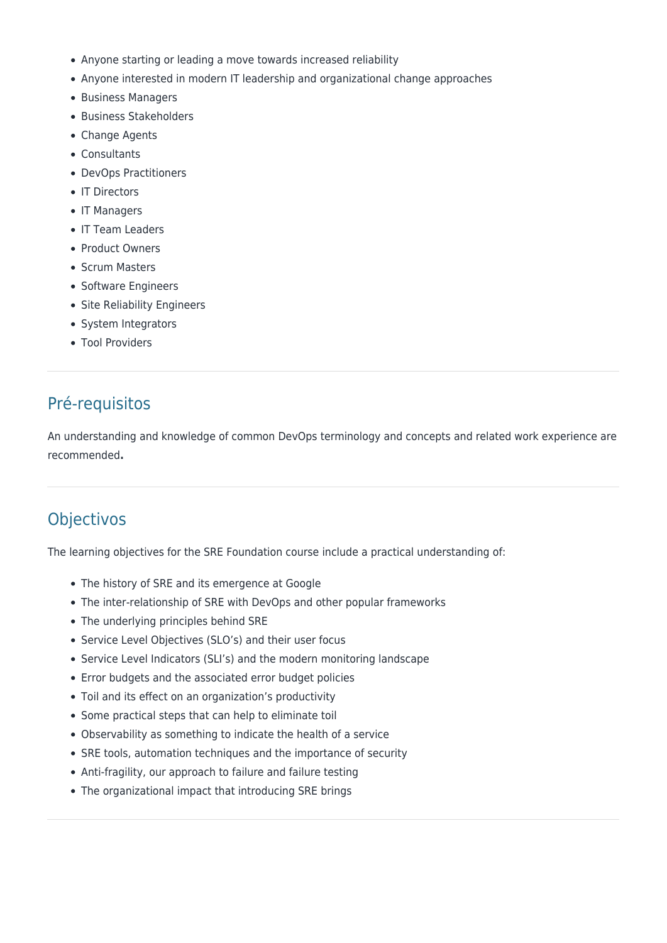- Anyone starting or leading a move towards increased reliability
- Anyone interested in modern IT leadership and organizational change approaches
- Business Managers
- Business Stakeholders
- Change Agents
- Consultants
- DevOps Practitioners
- IT Directors
- IT Managers
- IT Team Leaders
- Product Owners
- Scrum Masters
- Software Engineers
- Site Reliability Engineers
- System Integrators
- Tool Providers

## Pré-requisitos

An understanding and knowledge of common DevOps terminology and concepts and related work experience are recommended**.**

### **Objectivos**

The learning objectives for the SRE Foundation course include a practical understanding of:

- The history of SRE and its emergence at Google
- The inter-relationship of SRE with DevOps and other popular frameworks
- The underlying principles behind SRE
- Service Level Objectives (SLO's) and their user focus
- Service Level Indicators (SLI's) and the modern monitoring landscape
- Error budgets and the associated error budget policies
- Toil and its effect on an organization's productivity
- Some practical steps that can help to eliminate toil
- Observability as something to indicate the health of a service
- SRE tools, automation techniques and the importance of security
- Anti-fragility, our approach to failure and failure testing
- The organizational impact that introducing SRE brings